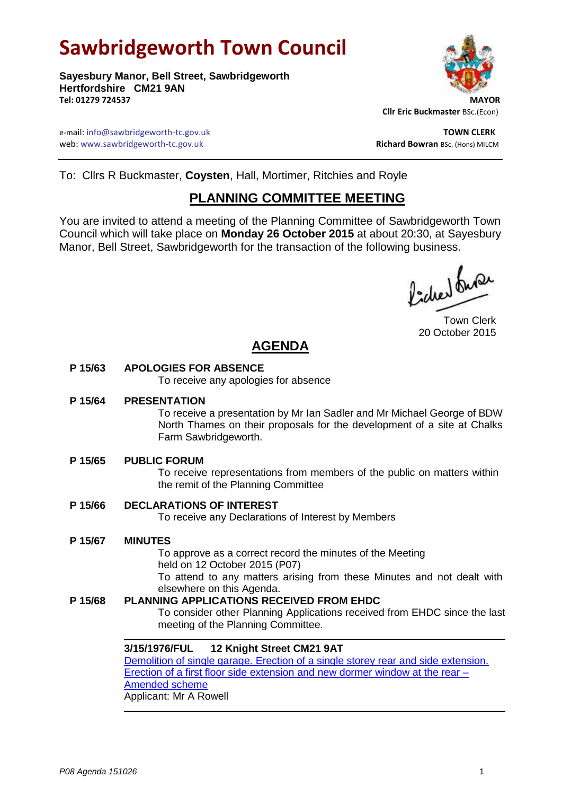# **Sawbridgeworth Town Council**

**Sayesbury Manor, Bell Street, Sawbridgeworth Hertfordshire CM21 9AN Tel: 01279 724537 MAYOR**



 **Cllr Eric Buckmaster** BSc.(Econ)

e-mail: info@sawbridgeworth-tc.gov.uk **TOWN CLERK** web: www.sawbridgeworth-tc.gov.uk and the state of the state of the state of the state of the state of the state of the state of the state of the state of the state of the state of the state of the state of the state of th

To: Cllrs R Buckmaster, **Coysten**, Hall, Mortimer, Ritchies and Royle

# **PLANNING COMMITTEE MEETING**

You are invited to attend a meeting of the Planning Committee of Sawbridgeworth Town Council which will take place on **Monday 26 October 2015** at about 20:30, at Sayesbury Manor, Bell Street, Sawbridgeworth for the transaction of the following business.

fided fune

Town Clerk 20 October 2015

# **AGENDA**

# **P 15/63 APOLOGIES FOR ABSENCE**

To receive any apologies for absence

#### **P 15/64 PRESENTATION**

To receive a presentation by Mr Ian Sadler and Mr Michael George of BDW North Thames on their proposals for the development of a site at Chalks Farm Sawbridgeworth.

# **P 15/65 PUBLIC FORUM**

To receive representations from members of the public on matters within the remit of the Planning Committee

# **P 15/66 DECLARATIONS OF INTEREST**

To receive any Declarations of Interest by Members

#### **P 15/67 MINUTES**

To approve as a correct record the minutes of the Meeting held on 12 October 2015 (P07) To attend to any matters arising from these Minutes and not dealt with

elsewhere on this Agenda.

# **P 15/68 PLANNING APPLICATIONS RECEIVED FROM EHDC**

To consider other Planning Applications received from EHDC since the last meeting of the Planning Committee.

#### **3/15/1976/FUL 12 Knight Street CM21 9AT**

[Demolition of single garage. Erection of a single storey rear and side extension.](https://publicaccess.eastherts.gov.uk/online-applications/applicationDetails.do?activeTab=summary&keyVal=NVHFCGGL00X00)  [Erection of a first floor side extension and new dormer window at the rear –](https://publicaccess.eastherts.gov.uk/online-applications/applicationDetails.do?activeTab=summary&keyVal=NVHFCGGL00X00) [Amended scheme](https://publicaccess.eastherts.gov.uk/online-applications/applicationDetails.do?activeTab=summary&keyVal=NVHFCGGL00X00) Applicant: Mr A Rowell